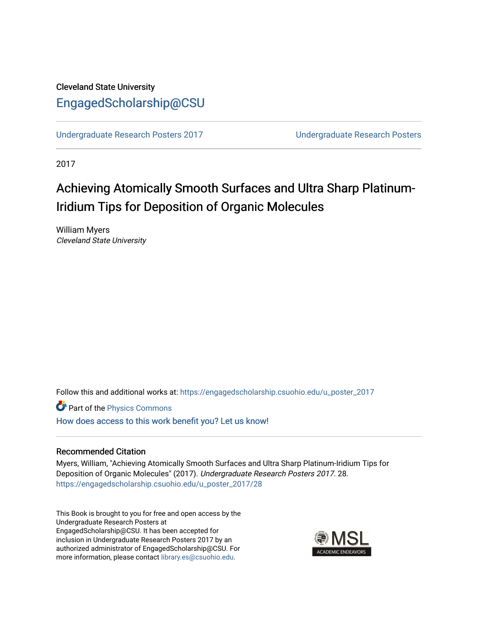### Cleveland State University [EngagedScholarship@CSU](https://engagedscholarship.csuohio.edu/)

[Undergraduate Research Posters 2017](https://engagedscholarship.csuohio.edu/u_poster_2017) [Undergraduate Research Posters](https://engagedscholarship.csuohio.edu/u_poster) 

2017

# Achieving Atomically Smooth Surfaces and Ultra Sharp Platinum-Iridium Tips for Deposition of Organic Molecules

William Myers Cleveland State University

Follow this and additional works at: [https://engagedscholarship.csuohio.edu/u\\_poster\\_2017](https://engagedscholarship.csuohio.edu/u_poster_2017?utm_source=engagedscholarship.csuohio.edu%2Fu_poster_2017%2F28&utm_medium=PDF&utm_campaign=PDFCoverPages) 

Part of the [Physics Commons](http://network.bepress.com/hgg/discipline/193?utm_source=engagedscholarship.csuohio.edu%2Fu_poster_2017%2F28&utm_medium=PDF&utm_campaign=PDFCoverPages) [How does access to this work benefit you? Let us know!](http://library.csuohio.edu/engaged/)

#### Recommended Citation

Myers, William, "Achieving Atomically Smooth Surfaces and Ultra Sharp Platinum-Iridium Tips for Deposition of Organic Molecules" (2017). Undergraduate Research Posters 2017. 28. [https://engagedscholarship.csuohio.edu/u\\_poster\\_2017/28](https://engagedscholarship.csuohio.edu/u_poster_2017/28?utm_source=engagedscholarship.csuohio.edu%2Fu_poster_2017%2F28&utm_medium=PDF&utm_campaign=PDFCoverPages) 

This Book is brought to you for free and open access by the Undergraduate Research Posters at EngagedScholarship@CSU. It has been accepted for inclusion in Undergraduate Research Posters 2017 by an authorized administrator of EngagedScholarship@CSU. For more information, please contact [library.es@csuohio.edu](mailto:library.es@csuohio.edu).